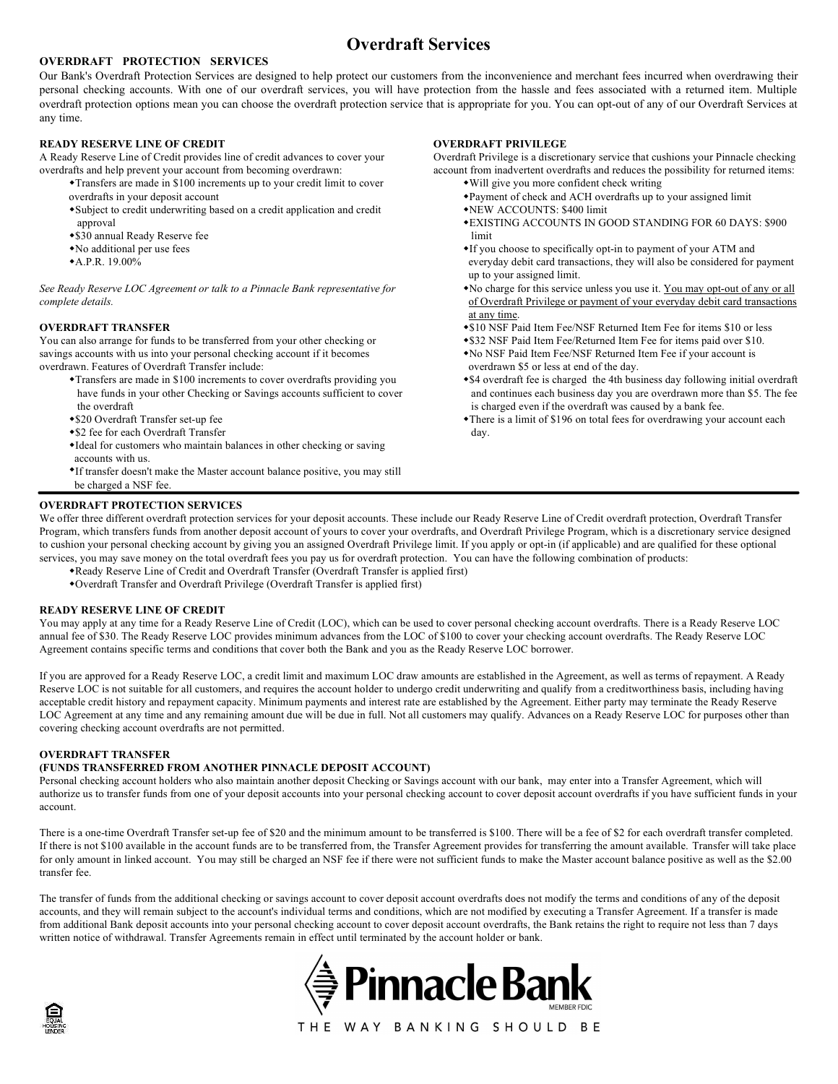# Overdraft Services

# OVERDRAFT PROTECTION SERVICES

Our Bank's Overdraft Protection Services are designed to help protect our customers from the inconvenience and merchant fees incurred when overdrawing their personal checking accounts. With one of our overdraft services, you will have protection from the hassle and fees associated with a returned item. Multiple overdraft protection options mean you can choose the overdraft protection service that is appropriate for you. You can opt-out of any of our Overdraft Services at any time.

### READY RESERVE LINE OF CREDIT

A Ready Reserve Line of Credit provides line of credit advances to cover your overdrafts and help prevent your account from becoming overdrawn:

- Transfers are made in \$100 increments up to your credit limit to cover overdrafts in your deposit account
- Subject to credit underwriting based on a credit application and credit approval
- \$30 annual Ready Reserve fee
- No additional per use fees
- A.P.R. 19.00%

See Ready Reserve LOC Agreement or talk to a Pinnacle Bank representative for complete details.

#### OVERDRAFT TRANSFER

You can also arrange for funds to be transferred from your other checking or savings accounts with us into your personal checking account if it becomes overdrawn. Features of Overdraft Transfer include:

- Transfers are made in \$100 increments to cover overdrafts providing you have funds in your other Checking or Savings accounts sufficient to cover the overdraft
- \$20 Overdraft Transfer set-up fee
- \$2 fee for each Overdraft Transfer
- Ideal for customers who maintain balances in other checking or saving accounts with us.
- If transfer doesn't make the Master account balance positive, you may still be charged a NSF fee.

#### OVERDRAFT PROTECTION SERVICES

OVERDRAFT PRIVILEGE

Overdraft Privilege is a discretionary service that cushions your Pinnacle checking account from inadvertent overdrafts and reduces the possibility for returned items: Will give you more confident check writing

- Payment of check and ACH overdrafts up to your assigned limit
- NEW ACCOUNTS: \$400 limit
- EXISTING ACCOUNTS IN GOOD STANDING FOR 60 DAYS: \$900 limit and the state of the state of the state of the state of the state of the state of the state of the state of the state of the state of the state of the state of the state of the state of the state of the state of the
	- If you choose to specifically opt-in to payment of your ATM and everyday debit card transactions, they will also be considered for payment up to your assigned limit.
	- No charge for this service unless you use it. You may opt-out of any or all of Overdraft Privilege or payment of your everyday debit card transactions at any time.
	- \$10 NSF Paid Item Fee/NSF Returned Item Fee for items \$10 or less
	- \$32 NSF Paid Item Fee/Returned Item Fee for items paid over \$10.
	- No NSF Paid Item Fee/NSF Returned Item Fee if your account is
	- overdrawn \$5 or less at end of the day.
	- \$4 overdraft fee is charged the 4th business day following initial overdraft and continues each business day you are overdrawn more than \$5. The fee is charged even if the overdraft was caused by a bank fee.
	- There is a limit of \$196 on total fees for overdrawing your account each day.

# We offer three different overdraft protection services for your deposit accounts. These include our Ready Reserve Line of Credit overdraft protection, Overdraft Transfer Program, which transfers funds from another deposit account of yours to cover your overdrafts, and Overdraft Privilege Program, which is a discretionary service designed to cushion your personal checking account by giving you an assigned Overdraft Privilege limit. If you apply or opt-in (if applicable) and are qualified for these optional

- services, you may save money on the total overdraft fees you pay us for overdraft protection. You can have the following combination of products:
	- Ready Reserve Line of Credit and Overdraft Transfer (Overdraft Transfer is applied first)
	- Overdraft Transfer and Overdraft Privilege (Overdraft Transfer is applied first)

READY RESERVE LINE OF CREDIT<br>You may apply at any time for a Ready Reserve Line of Credit (LOC), which can be used to cover personal checking account overdrafts. There is a Ready Reserve LOC annual fee of \$30. The Ready Reserve LOC provides minimum advances from the LOC of \$100 to cover your checking account overdrafts. The Ready Reserve LOC Agreement contains specific terms and conditions that cover both the Bank and you as the Ready Reserve LOC borrower.

If you are approved for a Ready Reserve LOC, a credit limit and maximum LOC draw amounts are established in the Agreement, as well as terms of repayment. A Ready Reserve LOC is not suitable for all customers, and requires the account holder to undergo credit underwriting and qualify from a creditworthiness basis, including having acceptable credit history and repayment capacity. Minimum payments and interest rate are established by the Agreement. Either party may terminate the Ready Reserve LOC Agreement at any time and any remaining amount due will be due in full. Not all customers may qualify. Advances on a Ready Reserve LOC for purposes other than covering checking account overdrafts are not permitted.

### OVERDRAFT TRANSFER

## (FUNDS TRANSFERRED FROM ANOTHER PINNACLE DEPOSIT ACCOUNT)

Personal checking account holders who also maintain another deposit Checking or Savings account with our bank, may enter into a Transfer Agreement, which will authorize us to transfer funds from one of your deposit accounts into your personal checking account to cover deposit account overdrafts if you have sufficient funds in your account.

There is a one-time Overdraft Transfer set-up fee of \$20 and the minimum amount to be transferred is \$100. There will be a fee of \$2 for each overdraft transfer completed. If there is not \$100 available in the account funds are to be transferred from, the Transfer Agreement provides for transferring the amount available. Transfer will take place for only amount in linked account. You may still be charged an NSF fee if there were not sufficient funds to make the Master account balance positive as well as the \$2.00 transfer fee.

The transfer of funds from the additional checking or savings account to cover deposit account overdrafts does not modify the terms and conditions of any of the deposit accounts, and they will remain subject to the account's individual terms and conditions, which are not modified by executing a Transfer Agreement. If a transfer is made from additional Bank deposit accounts into your personal checking account to cover deposit account overdrafts, the Bank retains the right to require not less than 7 days written notice of withdrawal. Transfer Agreements remain in effect until terminated by the account holder or bank.



THE WAY BANKING SHOULD BE